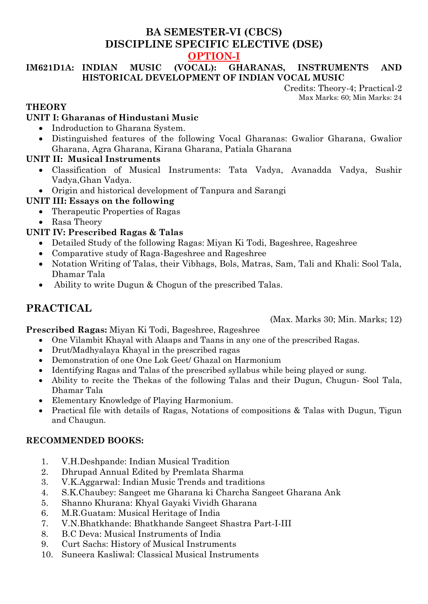# **BA SEMESTER-VI (CBCS) DISCIPLINE SPECIFIC ELECTIVE (DSE) OPTION-I**

### **IM621D1A: INDIAN MUSIC (VOCAL): GHARANAS, INSTRUMENTS AND HISTORICAL DEVELOPMENT OF INDIAN VOCAL MUSIC**

Credits: Theory-4; Practical-2 Max Marks: 60; Min Marks: 24

### **THEORY**

### **UNIT I: Gharanas of Hindustani Music**

- Indroduction to Gharana System.
- Distinguished features of the following Vocal Gharanas: Gwalior Gharana, Gwalior Gharana, Agra Gharana, Kirana Gharana, Patiala Gharana

### **UNIT II: Musical Instruments**

- Classification of Musical Instruments: Tata Vadya, Avanadda Vadya, Sushir Vadya,Ghan Vadya.
- Origin and historical development of Tanpura and Sarangi

### **UNIT III: Essays on the following**

- Therapeutic Properties of Ragas
- Rasa Theory

### **UNIT IV: Prescribed Ragas & Talas**

- Detailed Study of the following Ragas: Miyan Ki Todi, Bageshree, Rageshree
- Comparative study of Raga-Bageshree and Rageshree
- Notation Writing of Talas, their Vibhags, Bols, Matras, Sam, Tali and Khali: Sool Tala, Dhamar Tala
- Ability to write Dugun & Chogun of the prescribed Talas.

# **PRACTICAL**

(Max. Marks 30; Min. Marks; 12)

**Prescribed Ragas:** Miyan Ki Todi, Bageshree, Rageshree

- One Vilambit Khayal with Alaaps and Taans in any one of the prescribed Ragas.
- Drut/Madhyalaya Khayal in the prescribed ragas
- Demonstration of one One Lok Geet/ Ghazal on Harmonium
- Identifying Ragas and Talas of the prescribed syllabus while being played or sung.
- Ability to recite the Thekas of the following Talas and their Dugun, Chugun- Sool Tala, Dhamar Tala
- Elementary Knowledge of Playing Harmonium.
- Practical file with details of Ragas, Notations of compositions & Talas with Dugun, Tigun and Chaugun.

#### **RECOMMENDED BOOKS:**

- 1. V.H.Deshpande: Indian Musical Tradition
- 2. Dhrupad Annual Edited by Premlata Sharma
- 3. V.K.Aggarwal: Indian Music Trends and traditions
- 4. S.K.Chaubey: Sangeet me Gharana ki Charcha Sangeet Gharana Ank
- 5. Shanno Khurana: Khyal Gayaki Vividh Gharana
- 6. M.R.Guatam: Musical Heritage of India
- 7. V.N.Bhatkhande: Bhatkhande Sangeet Shastra Part-I-III
- 8. B.C Deva: Musical Instruments of India
- 9. Curt Sachs: History of Musical Instruments
- 10. Suneera Kasliwal: Classical Musical Instruments